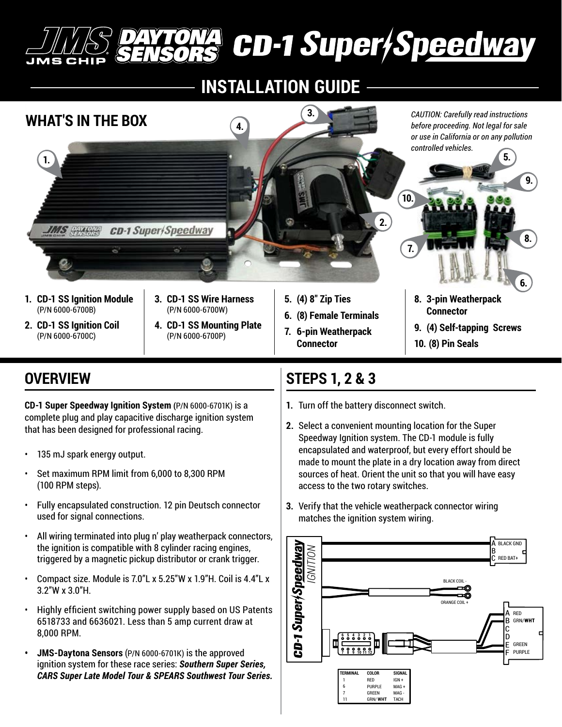# **CD-1 Super/Speedway**

# **INSTALLATION GUIDE**



## **OVERVIEW**

**CD-1 Super Speedway Ignition System (**P/N 6000-6701K) is a complete plug and play capacitive discharge ignition system that has been designed for professional racing.

- 135 mJ spark energy output.
- Set maximum RPM limit from 6,000 to 8,300 RPM (100 RPM steps).
- Fully encapsulated construction. 12 pin Deutsch connector used for signal connections.
- All wiring terminated into plug n' play weatherpack connectors, the ignition is compatible with 8 cylinder racing engines, triggered by a magnetic pickup distributor or crank trigger.
- Compact size. Module is 7.0"L x 5.25"W x 1.9"H. Coil is 4.4"L x 3.2"W x 3.0"H.
- Highly efficient switching power supply based on US Patents 6518733 and 6636021. Less than 5 amp current draw at 8,000 RPM.
- **• JMS-Daytona Sensors** (P/N 6000-6701K) is the approved ignition system for these race series: *Southern Super Series, CARS Super Late Model Tour & SPEARS Southwest Tour Series.*

### **STEPS 1, 2 & 3**

- **1.** Turn off the battery disconnect switch.
- **2.** Select a convenient mounting location for the Super Speedway Ignition system. The CD-1 module is fully encapsulated and waterproof, but every effort should be made to mount the plate in a dry location away from direct sources of heat. Orient the unit so that you will have easy access to the two rotary switches.
- **3.** Verify that the vehicle weatherpack connector wiring matches the ignition system wiring.

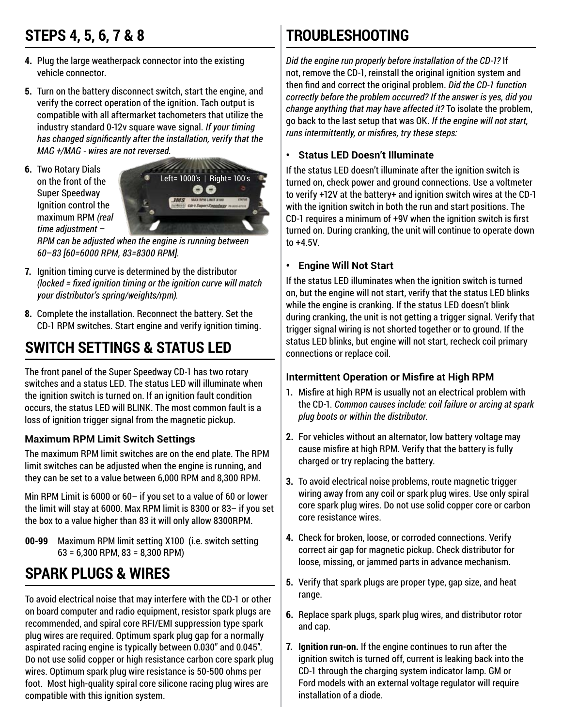## **STEPS 4, 5, 6, 7 & 8**

- **4.** Plug the large weatherpack connector into the existing vehicle connector.
- **5.** Turn on the battery disconnect switch, start the engine, and verify the correct operation of the ignition. Tach output is compatible with all aftermarket tachometers that utilize the industry standard 0-12v square wave signal. *If your timing has changed significantly after the installation, verify that the MAG +/MAG - wires are not reversed.*
- **6.** Two Rotary Dials on the front of the Super Speedway Ignition control the maximum RPM *(real time adjustment* –



*RPM can be adjusted when the engine is running between 60*–*83 [60=6000 RPM, 83=8300 RPM].*

- **7.** Ignition timing curve is determined by the distributor *(locked = fixed ignition timing or the ignition curve will match your distributor's spring/weights/rpm).*
- **8.** Complete the installation. Reconnect the battery. Set the CD-1 RPM switches. Start engine and verify ignition timing.

## **SWITCH SETTINGS & STATUS LED**

The front panel of the Super Speedway CD-1 has two rotary switches and a status LED. The status LED will illuminate when the ignition switch is turned on. If an ignition fault condition occurs, the status LED will BLINK. The most common fault is a loss of ignition trigger signal from the magnetic pickup.

#### **Maximum RPM Limit Switch Settings**

The maximum RPM limit switches are on the end plate. The RPM limit switches can be adjusted when the engine is running, and they can be set to a value between 6,000 RPM and 8,300 RPM.

Min RPM Limit is 6000 or 60– if you set to a value of 60 or lower the limit will stay at 6000. Max RPM limit is 8300 or 83– if you set the box to a value higher than 83 it will only allow 8300RPM.

**00-99** Maximum RPM limit setting X100 (i.e. switch setting 63 = 6,300 RPM, 83 = 8,300 RPM)

## **SPARK PLUGS & WIRES**

To avoid electrical noise that may interfere with the CD-1 or other on board computer and radio equipment, resistor spark plugs are recommended, and spiral core RFI/EMI suppression type spark plug wires are required. Optimum spark plug gap for a normally aspirated racing engine is typically between 0.030" and 0.045". Do not use solid copper or high resistance carbon core spark plug wires. Optimum spark plug wire resistance is 50-500 ohms per foot. Most high-quality spiral core silicone racing plug wires are compatible with this ignition system.

# **TROUBLESHOOTING**

*Did the engine run properly before installation of the CD-1?* If not, remove the CD-1, reinstall the original ignition system and then find and correct the original problem. *Did the CD-1 function correctly before the problem occurred? If the answer is yes, did you change anything that may have affected it?* To isolate the problem, go back to the last setup that was OK. *If the engine will not start, runs intermittently, or misfires, try these steps:*

#### **• Status LED Doesn't Illuminate**

If the status LED doesn't illuminate after the ignition switch is turned on, check power and ground connections. Use a voltmeter to verify +12V at the battery+ and ignition switch wires at the CD-1 with the ignition switch in both the run and start positions. The CD-1 requires a minimum of +9V when the ignition switch is first turned on. During cranking, the unit will continue to operate down to +4.5V.

#### **• Engine Will Not Start**

If the status LED illuminates when the ignition switch is turned on, but the engine will not start, verify that the status LED blinks while the engine is cranking. If the status LED doesn't blink during cranking, the unit is not getting a trigger signal. Verify that trigger signal wiring is not shorted together or to ground. If the status LED blinks, but engine will not start, recheck coil primary connections or replace coil.

#### **Intermittent Operation or Misfire at High RPM**

- **1.** Misfire at high RPM is usually not an electrical problem with the CD-1. *Common causes include: coil failure or arcing at spark plug boots or within the distributor.*
- **2.** For vehicles without an alternator, low battery voltage may cause misfire at high RPM. Verify that the battery is fully charged or try replacing the battery.
- **3.** To avoid electrical noise problems, route magnetic trigger wiring away from any coil or spark plug wires. Use only spiral core spark plug wires. Do not use solid copper core or carbon core resistance wires.
- **4.** Check for broken, loose, or corroded connections. Verify correct air gap for magnetic pickup. Check distributor for loose, missing, or jammed parts in advance mechanism.
- **5.** Verify that spark plugs are proper type, gap size, and heat range.
- **6.** Replace spark plugs, spark plug wires, and distributor rotor and cap.
- **7. Ignition run-on.** If the engine continues to run after the ignition switch is turned off, current is leaking back into the CD-1 through the charging system indicator lamp. GM or Ford models with an external voltage regulator will require installation of a diode.